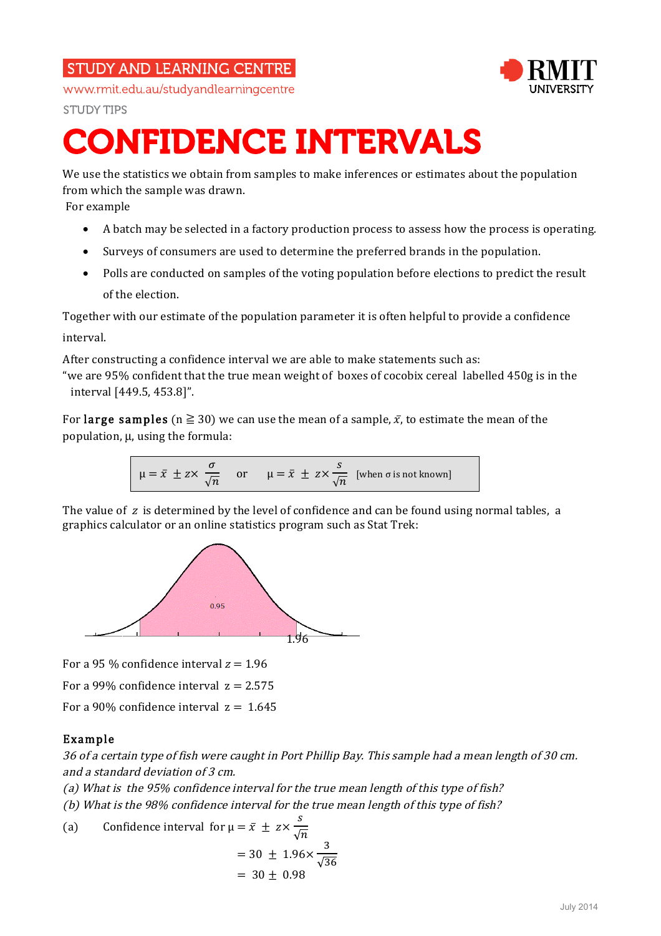## **STUDY AND LEARNING CENTRE**



www.rmit.edu.au/studyandlearningcentre

**STUDY TIPS** 

# CONFIDENCE INTERVALS

We use the statistics we obtain from samples to make inferences or estimates about the population from which the sample was drawn.

For example

- A batch may be selected in a factory production process to assess how the process is operating.
- Surveys of consumers are used to determine the preferred brands in the population.
- Polls are conducted on samples of the voting population before elections to predict the result of the election.

Together with our estimate of the population parameter it is often helpful to provide a confidence interval.

After constructing a confidence interval we are able to make statements such as:

"we are 95% confident that the true mean weight of boxes of cocobix cereal labelled 450g is in the interval [449.5, 453.8]".

For large samples ( $n \ge 30$ ) we can use the mean of a sample,  $\bar{x}$ , to estimate the mean of the population, µ, using the formula:

$$
\mu = \bar{x} \pm z \times \frac{\sigma}{\sqrt{n}}
$$
 or  $\mu = \bar{x} \pm z \times \frac{s}{\sqrt{n}}$  [when  $\sigma$  is not known]

The value of  $z$  is determined by the level of confidence and can be found using normal tables, a graphics calculator or an online statistics program such as Stat Trek:



For a 95 % confidence interval  $z = 1.96$ 

For a 99% confidence interval  $z = 2.575$ 

For a 90% confidence interval  $z = 1.645$ 

### Example

36 of a certain type of fish were caught in Port Phillip Bay. This sample had a mean length of 30 cm. and a standard deviation of 3 cm.

(a) What is the 95% confidence interval for the true mean length of this type of fish?

(b) What is the 98% confidence interval for the true mean length of this type of fish?

(a) Confidence interval for 
$$
\mu = \bar{x} \pm z \times \frac{s}{\sqrt{n}}
$$
  
= 30 ± 1.96× $\frac{3}{\sqrt{36}}$   
= 30 ± 0.98